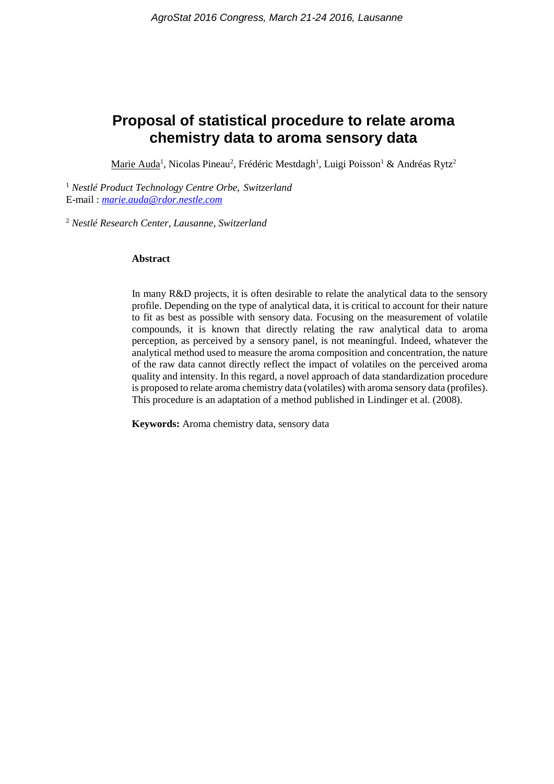# **Proposal of statistical procedure to relate aroma chemistry data to aroma sensory data**

Marie Auda<sup>1</sup>, Nicolas Pineau<sup>2</sup>, Frédéric Mestdagh<sup>1</sup>, Luigi Poisson<sup>1</sup> & Andréas Rytz<sup>2</sup>

<sup>1</sup> *Nestlé Product Technology Centre Orbe, Switzerland* E-mail : *[marie.auda@rdor.nestle.com](mailto:marie.auda@rdor.nestle.com)*

<sup>2</sup> *Nestlé Research Center, Lausanne, Switzerland*

#### **Abstract**

In many R&D projects, it is often desirable to relate the analytical data to the sensory profile. Depending on the type of analytical data, it is critical to account for their nature to fit as best as possible with sensory data. Focusing on the measurement of volatile compounds, it is known that directly relating the raw analytical data to aroma perception, as perceived by a sensory panel, is not meaningful. Indeed, whatever the analytical method used to measure the aroma composition and concentration, the nature of the raw data cannot directly reflect the impact of volatiles on the perceived aroma quality and intensity. In this regard, a novel approach of data standardization procedure is proposed to relate aroma chemistry data (volatiles) with aroma sensory data (profiles). This procedure is an adaptation of a method published in Lindinger et al. (2008).

**Keywords:** Aroma chemistry data, sensory data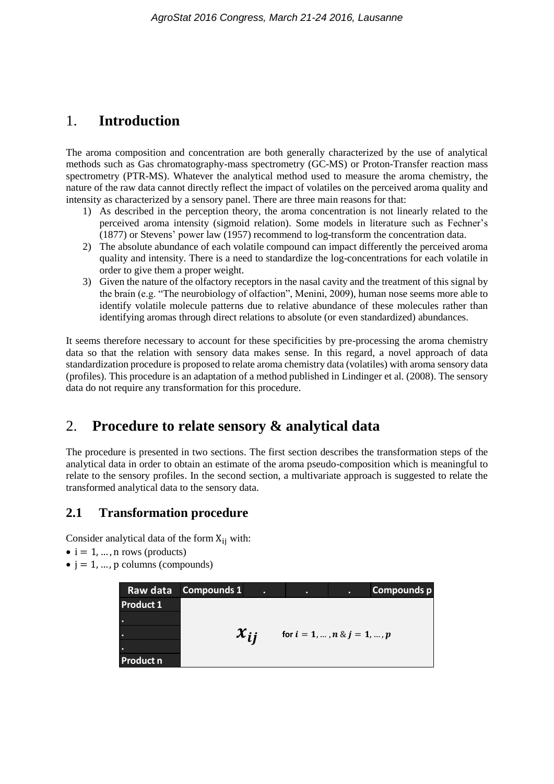# 1. **Introduction**

The aroma composition and concentration are both generally characterized by the use of analytical methods such as Gas chromatography-mass spectrometry (GC-MS) or Proton-Transfer reaction mass spectrometry (PTR-MS). Whatever the analytical method used to measure the aroma chemistry, the nature of the raw data cannot directly reflect the impact of volatiles on the perceived aroma quality and intensity as characterized by a sensory panel. There are three main reasons for that:

- 1) As described in the perception theory, the aroma concentration is not linearly related to the perceived aroma intensity (sigmoid relation). Some models in literature such as Fechner's (1877) or Stevens' power law (1957) recommend to log-transform the concentration data.
- 2) The absolute abundance of each volatile compound can impact differently the perceived aroma quality and intensity. There is a need to standardize the log-concentrations for each volatile in order to give them a proper weight.
- 3) Given the nature of the olfactory receptors in the nasal cavity and the treatment of this signal by the brain (e.g. "The neurobiology of olfaction", Menini, 2009), human nose seems more able to identify volatile molecule patterns due to relative abundance of these molecules rather than identifying aromas through direct relations to absolute (or even standardized) abundances.

It seems therefore necessary to account for these specificities by pre-processing the aroma chemistry data so that the relation with sensory data makes sense. In this regard, a novel approach of data standardization procedure is proposed to relate aroma chemistry data (volatiles) with aroma sensory data (profiles). This procedure is an adaptation of a method published in Lindinger et al. (2008). The sensory data do not require any transformation for this procedure.

# 2. **Procedure to relate sensory & analytical data**

The procedure is presented in two sections. The first section describes the transformation steps of the analytical data in order to obtain an estimate of the aroma pseudo-composition which is meaningful to relate to the sensory profiles. In the second section, a multivariate approach is suggested to relate the transformed analytical data to the sensory data.

### **2.1 Transformation procedure**

Consider analytical data of the form  $X_{ii}$  with:

- $\bullet$  i = 1, ..., n rows (products)
- $\bullet$  j = 1, ..., p columns (compounds)

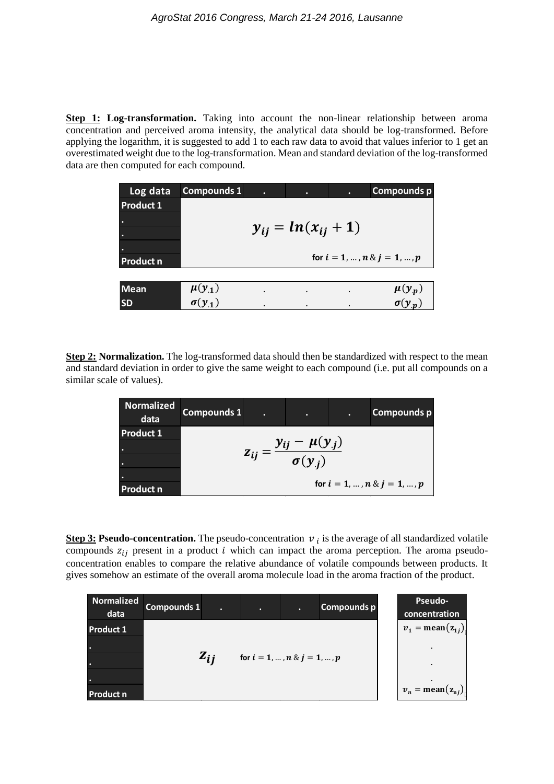**Step 1: Log-transformation.** Taking into account the non-linear relationship between aroma concentration and perceived aroma intensity, the analytical data should be log-transformed. Before applying the logarithm, it is suggested to add 1 to each raw data to avoid that values inferior to 1 get an overestimated weight due to the log-transformation. Mean and standard deviation of the log-transformed data are then computed for each compound.

| Log data         | <b>Compounds 1</b>        | ٠         | ٠         | ٠                    | <b>Compounds p</b>             |  |
|------------------|---------------------------|-----------|-----------|----------------------|--------------------------------|--|
| <b>Product 1</b> |                           |           |           |                      |                                |  |
| $\bullet$<br>٠   | $y_{ij} = ln(x_{ij} + 1)$ |           |           |                      |                                |  |
| $\bullet$        |                           |           |           |                      |                                |  |
| <b>Product n</b> |                           |           |           |                      | for $i = 1, , n \& j = 1, , p$ |  |
|                  |                           |           |           |                      |                                |  |
| <b>Mean</b>      | $\mu(y_1)$                | $\bullet$ | $\cdot$   | $\ddot{\phantom{0}}$ | $\mu(y_p)$<br>$\sigma(y_p)$    |  |
| <b>SD</b>        | $\sigma(y_1)$             | ٠         | $\bullet$ | ٠                    |                                |  |

**Step 2: Normalization.** The log-transformed data should then be standardized with respect to the mean and standard deviation in order to give the same weight to each compound (i.e. put all compounds on a similar scale of values).

| <b>Normalized</b><br>data | <b>Compounds 1</b>                                     | п | ٠ | ٠ | Compounds p |  |  |
|---------------------------|--------------------------------------------------------|---|---|---|-------------|--|--|
| <b>Product 1</b>          |                                                        |   |   |   |             |  |  |
| ۰.                        | $z_{ij} = \frac{y_{ij} - \mu(y_{.j})}{\sigma(y_{.j})}$ |   |   |   |             |  |  |
| ۰.                        |                                                        |   |   |   |             |  |  |
| $\bullet$                 | for $i = 1, , n \& j = 1, , p$                         |   |   |   |             |  |  |
| <b>Product n</b>          |                                                        |   |   |   |             |  |  |

**Step 3: Pseudo-concentration.** The pseudo-concentration  $v_i$  is the average of all standardized volatile compounds  $z_{ij}$  present in a product *i* which can impact the aroma perception. The aroma pseudoconcentration enables to compare the relative abundance of volatile compounds between products. It gives somehow an estimate of the overall aroma molecule load in the aroma fraction of the product.

| <b>Normalized</b><br>data | <b>Compounds 1</b> | Ы        | ٠                              | п | Compounds p | Pseudo-<br>concentration    |
|---------------------------|--------------------|----------|--------------------------------|---|-------------|-----------------------------|
| <b>Product 1</b>          |                    |          |                                |   |             | $v_1 = \text{mean}(z_{1i})$ |
| ۰.<br>г.                  |                    | $z_{ij}$ | for $i = 1, , n \& j = 1, , p$ |   |             | $\bullet$                   |
| ۰.<br><b>Product n</b>    |                    |          |                                |   |             | $v_n = \text{mean}(z_{nj})$ |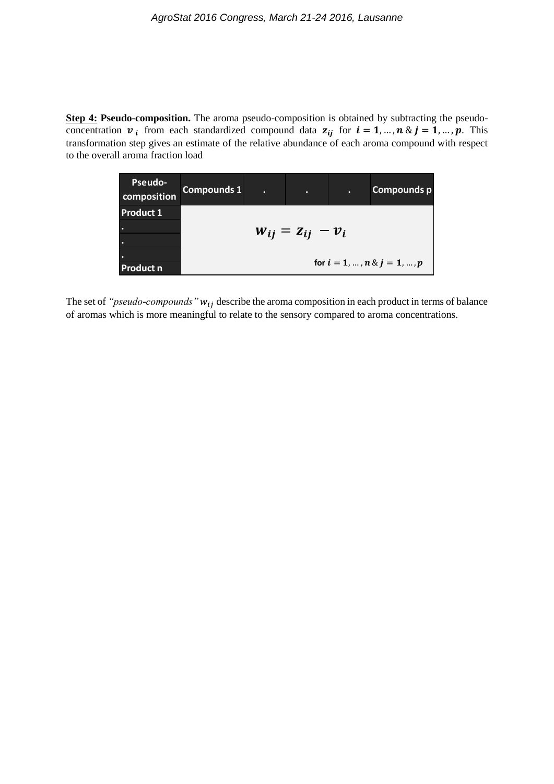**Step 4: Pseudo-composition.** The aroma pseudo-composition is obtained by subtracting the pseudoconcentration  $v_i$  from each standardized compound data  $z_{ii}$  for  $i = 1, ..., n$  &  $j = 1, ..., p$ . This transformation step gives an estimate of the relative abundance of each aroma compound with respect to the overall aroma fraction load

| <b>Pseudo-</b><br>composition | Compounds 1             | п | o | ъ. | Compounds p                    |  |
|-------------------------------|-------------------------|---|---|----|--------------------------------|--|
| <b>Product 1</b>              |                         |   |   |    |                                |  |
| ٠.                            | $W_{ij} = Z_{ij} - V_i$ |   |   |    |                                |  |
| ٠.                            |                         |   |   |    |                                |  |
| ٠                             |                         |   |   |    |                                |  |
| <b>Product n</b>              |                         |   |   |    | for $i = 1, , n \& j = 1, , p$ |  |

The set of *"pseudo-compounds"*  $w_{ij}$  describe the aroma composition in each product in terms of balance of aromas which is more meaningful to relate to the sensory compared to aroma concentrations.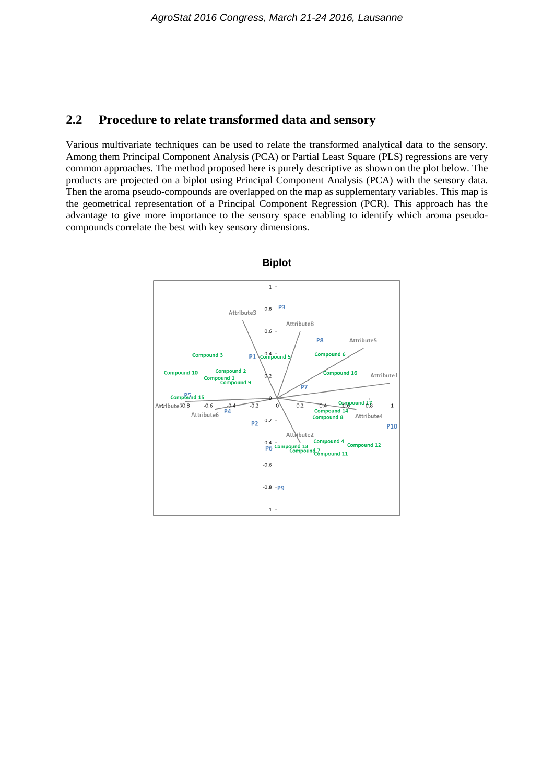#### **2.2 Procedure to relate transformed data and sensory**

Various multivariate techniques can be used to relate the transformed analytical data to the sensory. Among them Principal Component Analysis (PCA) or Partial Least Square (PLS) regressions are very common approaches. The method proposed here is purely descriptive as shown on the plot below. The products are projected on a biplot using Principal Component Analysis (PCA) with the sensory data. Then the aroma pseudo-compounds are overlapped on the map as supplementary variables. This map is the geometrical representation of a Principal Component Regression (PCR). This approach has the advantage to give more importance to the sensory space enabling to identify which aroma pseudocompounds correlate the best with key sensory dimensions.



**Biplot**